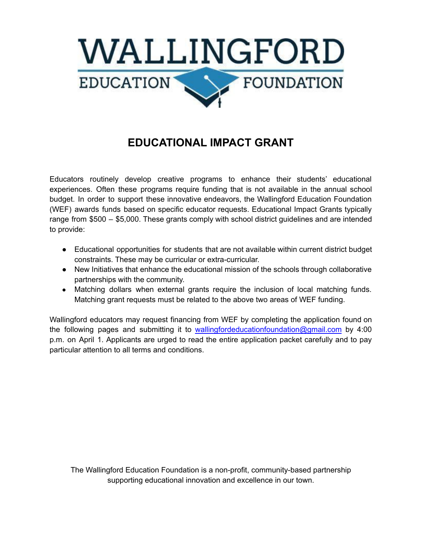

## **EDUCATIONAL IMPACT GRANT**

Educators routinely develop creative programs to enhance their students' educational experiences. Often these programs require funding that is not available in the annual school budget. In order to support these innovative endeavors, the Wallingford Education Foundation (WEF) awards funds based on specific educator requests. Educational Impact Grants typically range from \$500 – \$5,000. These grants comply with school district guidelines and are intended to provide:

- Educational opportunities for students that are not available within current district budget constraints. These may be curricular or extra-curricular.
- New Initiatives that enhance the educational mission of the schools through collaborative partnerships with the community.
- Matching dollars when external grants require the inclusion of local matching funds. Matching grant requests must be related to the above two areas of WEF funding.

Wallingford educators may request financing from WEF by completing the application found on the following pages and submitting it to [wallingfordeducationfoundation@gmail.com](mailto:wallingfordeducationfoundation@gmail.com) by 4:00 p.m. on April 1. Applicants are urged to read the entire application packet carefully and to pay particular attention to all terms and conditions.

The Wallingford Education Foundation is a non-profit, community-based partnership supporting educational innovation and excellence in our town.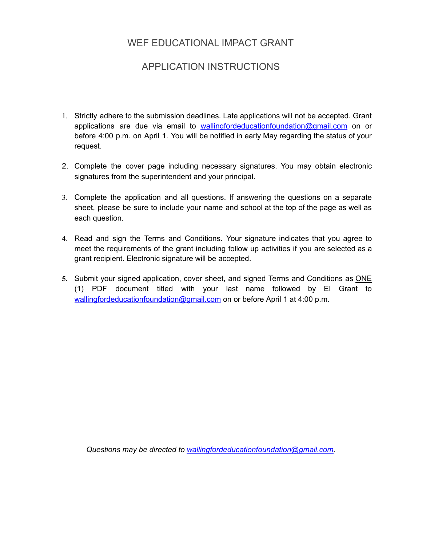## WEF EDUCATIONAL IMPACT GRANT

## APPLICATION INSTRUCTIONS

- 1. Strictly adhere to the submission deadlines. Late applications will not be accepted. Grant applications are due via email to **[wallingfordeducationfoundation@gmail.com](mailto:wallingfordeducationfoundation@gmail.com)** on or before 4:00 p.m. on April 1. You will be notified in early May regarding the status of your request.
- 2. Complete the cover page including necessary signatures. You may obtain electronic signatures from the superintendent and your principal.
- 3. Complete the application and all questions. If answering the questions on a separate sheet, please be sure to include your name and school at the top of the page as well as each question.
- 4. Read and sign the Terms and Conditions. Your signature indicates that you agree to meet the requirements of the grant including follow up activities if you are selected as a grant recipient. Electronic signature will be accepted.
- 5. Submit your signed application, cover sheet, and signed Terms and Conditions as **ONE** (1) PDF document titled with your last name followed by EI Grant to [wallingfordeducationfoundation@gmail.com](mailto:wallingfordeducationfoundation@gmail.com) on or before April 1 at 4:00 p.m.

*Questions may be directed to [wallingfordeducationfoundation@gmail.com.](mailto:wallingfordeducationfoundation@gmail.com)*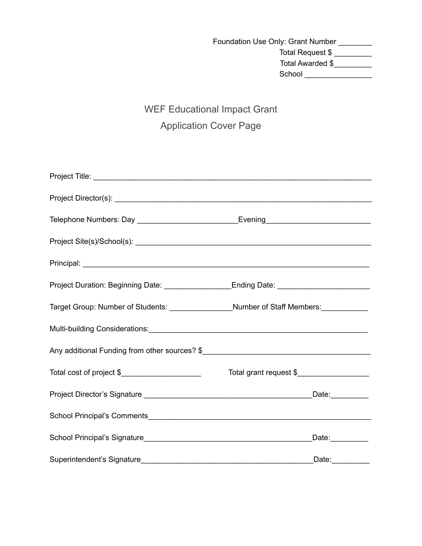Foundation Use Only: Grant Number \_\_\_\_\_\_\_\_ Total Request \$ \_\_\_\_\_\_\_\_\_ Total Awarded \$ School \_\_\_\_\_\_\_\_\_\_\_\_\_\_\_\_

# WEF Educational Impact Grant Application Cover Page

| Telephone Numbers: Day _________________________________Evening__________________                                                                                                                                              |                        |
|--------------------------------------------------------------------------------------------------------------------------------------------------------------------------------------------------------------------------------|------------------------|
| Project Site(s)/School(s): enterprise the contract of the contract of the contract of the contract of the contract of the contract of the contract of the contract of the contract of the contract of the contract of the cont |                        |
|                                                                                                                                                                                                                                |                        |
| Project Duration: Beginning Date: ____________________Ending Date: ________________________________                                                                                                                            |                        |
| Target Group: Number of Students: ___________________Number of Staff Members: ____________                                                                                                                                     |                        |
|                                                                                                                                                                                                                                |                        |
|                                                                                                                                                                                                                                |                        |
| Total cost of project \$______________________                                                                                                                                                                                 | Total grant request \$ |
|                                                                                                                                                                                                                                |                        |
|                                                                                                                                                                                                                                |                        |
|                                                                                                                                                                                                                                | Date: _________        |
|                                                                                                                                                                                                                                | Date:_________         |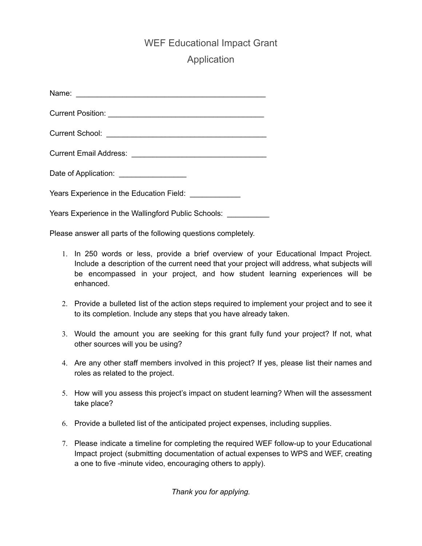### WEF Educational Impact Grant

## Application

| Date of Application: ___________________               |  |
|--------------------------------------------------------|--|
| Years Experience in the Education Field: _____________ |  |
| Years Experience in the Wallingford Public Schools:    |  |

Please answer all parts of the following questions completely.

- 1. In 250 words or less, provide a brief overview of your Educational Impact Project. Include a description of the current need that your project will address, what subjects will be encompassed in your project, and how student learning experiences will be enhanced.
- 2. Provide a bulleted list of the action steps required to implement your project and to see it to its completion. Include any steps that you have already taken.
- 3. Would the amount you are seeking for this grant fully fund your project? If not, what other sources will you be using?
- 4. Are any other staff members involved in this project? If yes, please list their names and roles as related to the project.
- 5. How will you assess this project's impact on student learning? When will the assessment take place?
- 6. Provide a bulleted list of the anticipated project expenses, including supplies.
- 7. Please indicate a timeline for completing the required WEF follow-up to your Educational Impact project (submitting documentation of actual expenses to WPS and WEF, creating a one to five -minute video, encouraging others to apply).

*Thank you for applying.*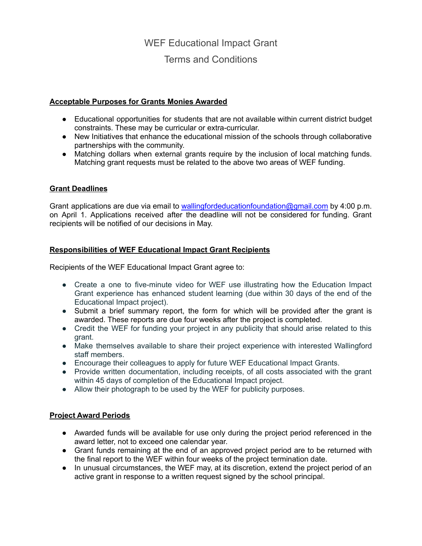# WEF Educational Impact Grant Terms and Conditions

#### **Acceptable Purposes for Grants Monies Awarded**

- Educational opportunities for students that are not available within current district budget constraints. These may be curricular or extra-curricular.
- New Initiatives that enhance the educational mission of the schools through collaborative partnerships with the community.
- Matching dollars when external grants require by the inclusion of local matching funds. Matching grant requests must be related to the above two areas of WEF funding.

### **Grant Deadlines**

Grant applications are due via email to [wallingfordeducationfoundation@gmail.com](mailto:wallingfordeducationfoundation@gmail.com) by 4:00 p.m. on April 1. Applications received after the deadline will not be considered for funding. Grant recipients will be notified of our decisions in May.

### **Responsibilities of WEF Educational Impact Grant Recipients**

Recipients of the WEF Educational Impact Grant agree to:

- Create a one to five-minute video for WEF use illustrating how the Education Impact Grant experience has enhanced student learning (due within 30 days of the end of the Educational Impact project).
- Submit a brief summary report, the form for which will be provided after the grant is awarded. These reports are due four weeks after the project is completed.
- Credit the WEF for funding your project in any publicity that should arise related to this grant.
- Make themselves available to share their project experience with interested Wallingford staff members.
- Encourage their colleagues to apply for future WEF Educational Impact Grants.
- Provide written documentation, including receipts, of all costs associated with the grant within 45 days of completion of the Educational Impact project.
- Allow their photograph to be used by the WEF for publicity purposes.

#### **Project Award Periods**

- Awarded funds will be available for use only during the project period referenced in the award letter, not to exceed one calendar year.
- Grant funds remaining at the end of an approved project period are to be returned with the final report to the WEF within four weeks of the project termination date.
- In unusual circumstances, the WEF may, at its discretion, extend the project period of an active grant in response to a written request signed by the school principal.